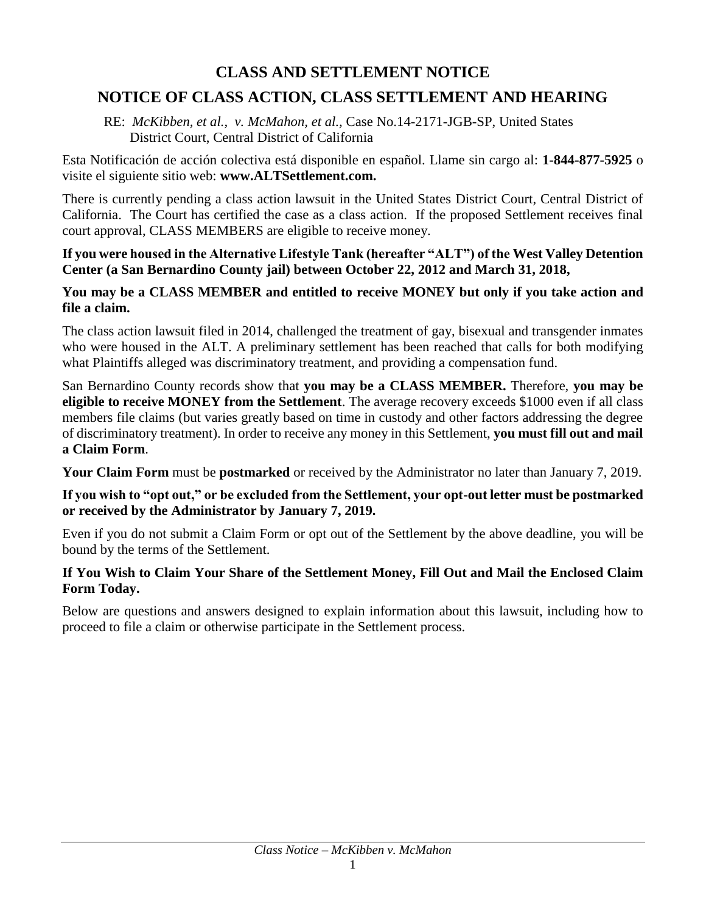# **CLASS AND SETTLEMENT NOTICE**

# **NOTICE OF CLASS ACTION, CLASS SETTLEMENT AND HEARING**

RE: *McKibben, et al., v. McMahon, et al.,* Case No.14-2171-JGB-SP, United States District Court, Central District of California

Esta Notificación de acción colectiva está disponible en español. Llame sin cargo al: **1-844-877-5925** o visite el siguiente sitio web: **www.ALTSettlement.com.**

There is currently pending a class action lawsuit in the United States District Court, Central District of California. The Court has certified the case as a class action. If the proposed Settlement receives final court approval, CLASS MEMBERS are eligible to receive money.

**If you were housed in the Alternative Lifestyle Tank (hereafter "ALT") of the West Valley Detention Center (a San Bernardino County jail) between October 22, 2012 and March 31, 2018,**

#### **You may be a CLASS MEMBER and entitled to receive MONEY but only if you take action and file a claim.**

The class action lawsuit filed in 2014, challenged the treatment of gay, bisexual and transgender inmates who were housed in the ALT. A preliminary settlement has been reached that calls for both modifying what Plaintiffs alleged was discriminatory treatment, and providing a compensation fund.

San Bernardino County records show that **you may be a CLASS MEMBER.** Therefore, **you may be eligible to receive MONEY from the Settlement**. The average recovery exceeds \$1000 even if all class members file claims (but varies greatly based on time in custody and other factors addressing the degree of discriminatory treatment). In order to receive any money in this Settlement, **you must fill out and mail a Claim Form**.

**Your Claim Form** must be **postmarked** or received by the Administrator no later than January 7, 2019.

#### **If you wish to "opt out," or be excluded from the Settlement, your opt-out letter must be postmarked or received by the Administrator by January 7, 2019.**

Even if you do not submit a Claim Form or opt out of the Settlement by the above deadline, you will be bound by the terms of the Settlement.

#### **If You Wish to Claim Your Share of the Settlement Money, Fill Out and Mail the Enclosed Claim Form Today.**

Below are questions and answers designed to explain information about this lawsuit, including how to proceed to file a claim or otherwise participate in the Settlement process.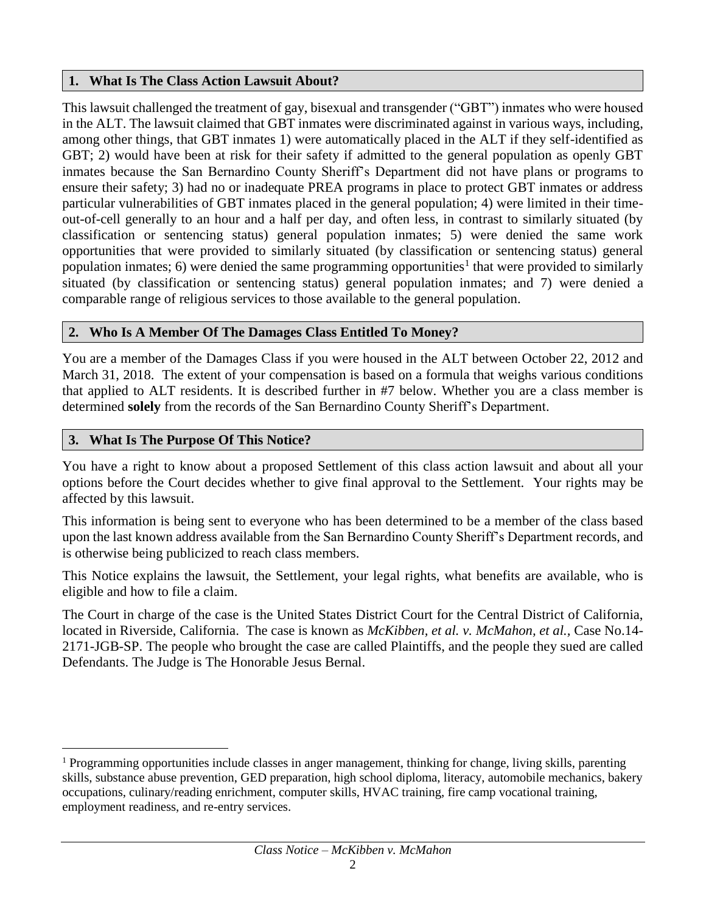#### **1. What Is The Class Action Lawsuit About?**

This lawsuit challenged the treatment of gay, bisexual and transgender ("GBT") inmates who were housed in the ALT. The lawsuit claimed that GBT inmates were discriminated against in various ways, including, among other things, that GBT inmates 1) were automatically placed in the ALT if they self-identified as GBT; 2) would have been at risk for their safety if admitted to the general population as openly GBT inmates because the San Bernardino County Sheriff's Department did not have plans or programs to ensure their safety; 3) had no or inadequate PREA programs in place to protect GBT inmates or address particular vulnerabilities of GBT inmates placed in the general population; 4) were limited in their timeout-of-cell generally to an hour and a half per day, and often less, in contrast to similarly situated (by classification or sentencing status) general population inmates; 5) were denied the same work opportunities that were provided to similarly situated (by classification or sentencing status) general population inmates; 6) were denied the same programming opportunities<sup>1</sup> that were provided to similarly situated (by classification or sentencing status) general population inmates; and 7) were denied a comparable range of religious services to those available to the general population.

## **2. Who Is A Member Of The Damages Class Entitled To Money?**

You are a member of the Damages Class if you were housed in the ALT between October 22, 2012 and March 31, 2018. The extent of your compensation is based on a formula that weighs various conditions that applied to ALT residents. It is described further in #7 below. Whether you are a class member is determined **solely** from the records of the San Bernardino County Sheriff's Department.

#### **3. What Is The Purpose Of This Notice?**

You have a right to know about a proposed Settlement of this class action lawsuit and about all your options before the Court decides whether to give final approval to the Settlement. Your rights may be affected by this lawsuit.

This information is being sent to everyone who has been determined to be a member of the class based upon the last known address available from the San Bernardino County Sheriff's Department records, and is otherwise being publicized to reach class members.

This Notice explains the lawsuit, the Settlement, your legal rights, what benefits are available, who is eligible and how to file a claim.

The Court in charge of the case is the United States District Court for the Central District of California, located in Riverside, California. The case is known as *McKibben, et al. v. McMahon, et al.,* Case No.14- 2171-JGB-SP. The people who brought the case are called Plaintiffs, and the people they sued are called Defendants. The Judge is The Honorable Jesus Bernal.

l <sup>1</sup> Programming opportunities include classes in anger management, thinking for change, living skills, parenting skills, substance abuse prevention, GED preparation, high school diploma, literacy, automobile mechanics, bakery occupations, culinary/reading enrichment, computer skills, HVAC training, fire camp vocational training, employment readiness, and re-entry services.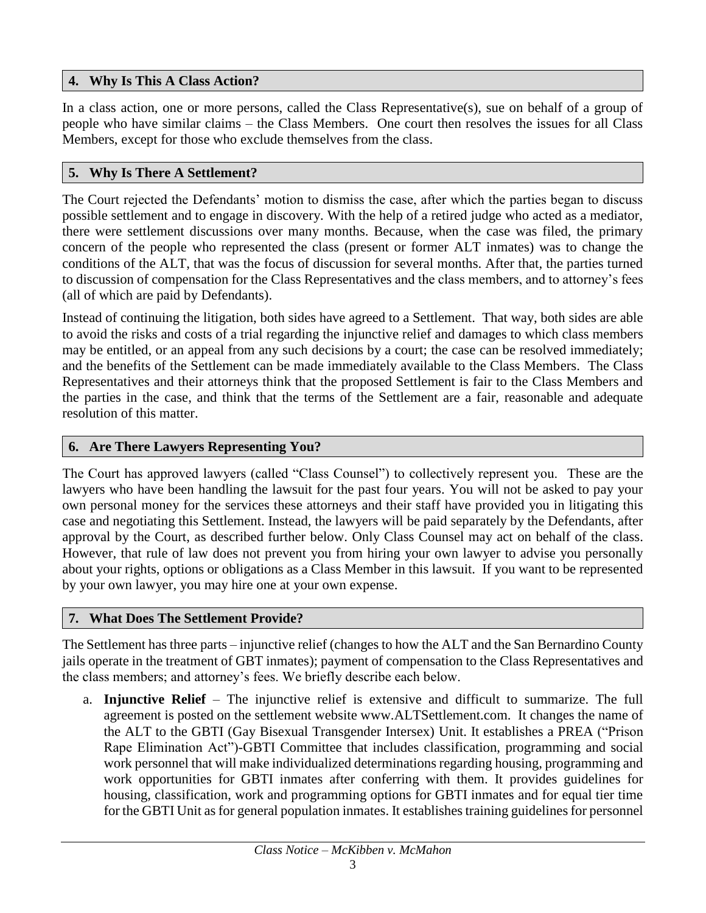## **4. Why Is This A Class Action?**

In a class action, one or more persons, called the Class Representative(s), sue on behalf of a group of people who have similar claims – the Class Members. One court then resolves the issues for all Class Members, except for those who exclude themselves from the class.

## **5. Why Is There A Settlement?**

The Court rejected the Defendants' motion to dismiss the case, after which the parties began to discuss possible settlement and to engage in discovery. With the help of a retired judge who acted as a mediator, there were settlement discussions over many months. Because, when the case was filed, the primary concern of the people who represented the class (present or former ALT inmates) was to change the conditions of the ALT, that was the focus of discussion for several months. After that, the parties turned to discussion of compensation for the Class Representatives and the class members, and to attorney's fees (all of which are paid by Defendants).

Instead of continuing the litigation, both sides have agreed to a Settlement. That way, both sides are able to avoid the risks and costs of a trial regarding the injunctive relief and damages to which class members may be entitled, or an appeal from any such decisions by a court; the case can be resolved immediately; and the benefits of the Settlement can be made immediately available to the Class Members. The Class Representatives and their attorneys think that the proposed Settlement is fair to the Class Members and the parties in the case, and think that the terms of the Settlement are a fair, reasonable and adequate resolution of this matter.

# **6. Are There Lawyers Representing You?**

The Court has approved lawyers (called "Class Counsel") to collectively represent you. These are the lawyers who have been handling the lawsuit for the past four years. You will not be asked to pay your own personal money for the services these attorneys and their staff have provided you in litigating this case and negotiating this Settlement. Instead, the lawyers will be paid separately by the Defendants, after approval by the Court, as described further below. Only Class Counsel may act on behalf of the class. However, that rule of law does not prevent you from hiring your own lawyer to advise you personally about your rights, options or obligations as a Class Member in this lawsuit. If you want to be represented by your own lawyer, you may hire one at your own expense.

## **7. What Does The Settlement Provide?**

The Settlement has three parts – injunctive relief (changes to how the ALT and the San Bernardino County jails operate in the treatment of GBT inmates); payment of compensation to the Class Representatives and the class members; and attorney's fees. We briefly describe each below.

a. **Injunctive Relief** – The injunctive relief is extensive and difficult to summarize. The full agreement is posted on the settlement website www.ALTSettlement.com. It changes the name of the ALT to the GBTI (Gay Bisexual Transgender Intersex) Unit. It establishes a PREA ("Prison Rape Elimination Act")-GBTI Committee that includes classification, programming and social work personnel that will make individualized determinations regarding housing, programming and work opportunities for GBTI inmates after conferring with them. It provides guidelines for housing, classification, work and programming options for GBTI inmates and for equal tier time for the GBTI Unit as for general population inmates. It establishes training guidelines for personnel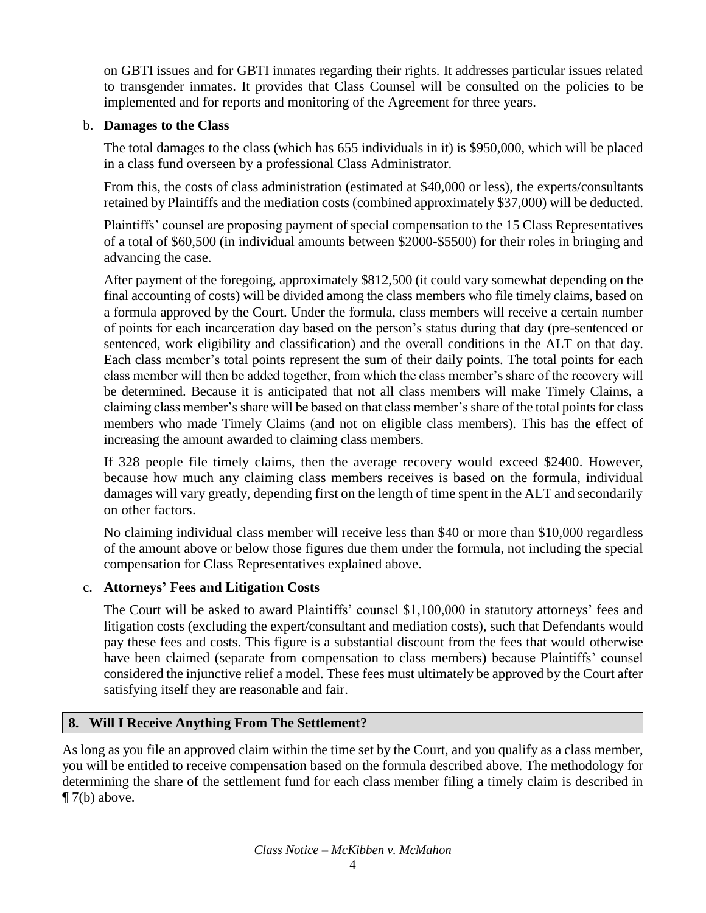on GBTI issues and for GBTI inmates regarding their rights. It addresses particular issues related to transgender inmates. It provides that Class Counsel will be consulted on the policies to be implemented and for reports and monitoring of the Agreement for three years.

### b. **Damages to the Class**

The total damages to the class (which has 655 individuals in it) is \$950,000, which will be placed in a class fund overseen by a professional Class Administrator.

From this, the costs of class administration (estimated at \$40,000 or less), the experts/consultants retained by Plaintiffs and the mediation costs (combined approximately \$37,000) will be deducted.

Plaintiffs' counsel are proposing payment of special compensation to the 15 Class Representatives of a total of \$60,500 (in individual amounts between \$2000-\$5500) for their roles in bringing and advancing the case.

After payment of the foregoing, approximately \$812,500 (it could vary somewhat depending on the final accounting of costs) will be divided among the class members who file timely claims, based on a formula approved by the Court. Under the formula, class members will receive a certain number of points for each incarceration day based on the person's status during that day (pre-sentenced or sentenced, work eligibility and classification) and the overall conditions in the ALT on that day. Each class member's total points represent the sum of their daily points. The total points for each class member will then be added together, from which the class member's share of the recovery will be determined. Because it is anticipated that not all class members will make Timely Claims, a claiming class member's share will be based on that class member's share of the total points for class members who made Timely Claims (and not on eligible class members). This has the effect of increasing the amount awarded to claiming class members.

If 328 people file timely claims, then the average recovery would exceed \$2400. However, because how much any claiming class members receives is based on the formula, individual damages will vary greatly, depending first on the length of time spent in the ALT and secondarily on other factors.

No claiming individual class member will receive less than \$40 or more than \$10,000 regardless of the amount above or below those figures due them under the formula, not including the special compensation for Class Representatives explained above.

## c. **Attorneys' Fees and Litigation Costs**

The Court will be asked to award Plaintiffs' counsel \$1,100,000 in statutory attorneys' fees and litigation costs (excluding the expert/consultant and mediation costs), such that Defendants would pay these fees and costs. This figure is a substantial discount from the fees that would otherwise have been claimed (separate from compensation to class members) because Plaintiffs' counsel considered the injunctive relief a model. These fees must ultimately be approved by the Court after satisfying itself they are reasonable and fair.

# **8. Will I Receive Anything From The Settlement?**

As long as you file an approved claim within the time set by the Court, and you qualify as a class member, you will be entitled to receive compensation based on the formula described above. The methodology for determining the share of the settlement fund for each class member filing a timely claim is described in  $\P$  7(b) above.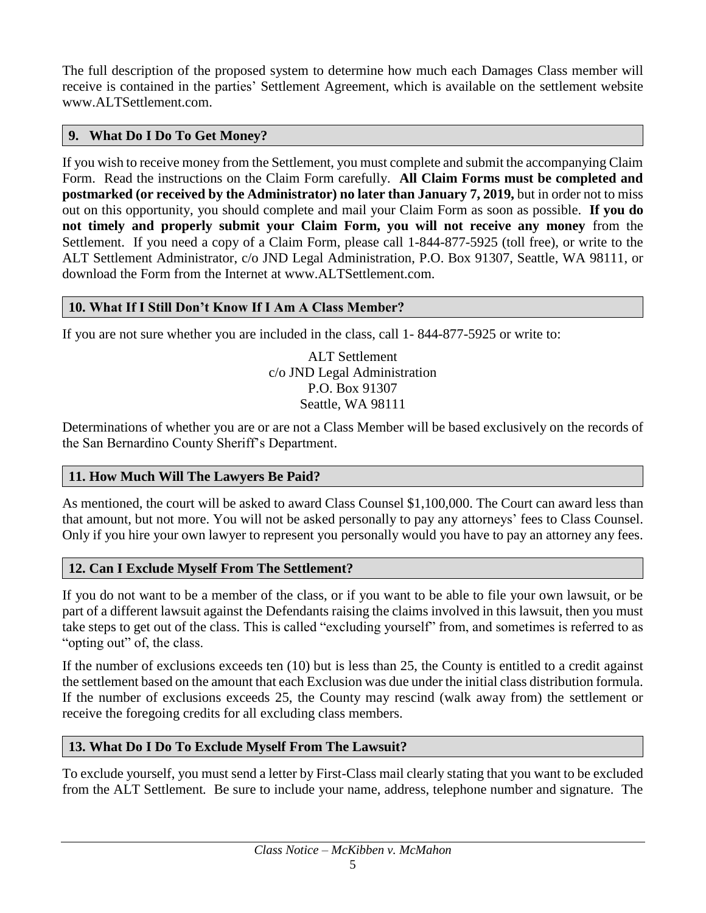The full description of the proposed system to determine how much each Damages Class member will receive is contained in the parties' Settlement Agreement, which is available on the settlement website www.ALTSettlement.com.

### **9. What Do I Do To Get Money?**

If you wish to receive money from the Settlement, you must complete and submit the accompanying Claim Form. Read the instructions on the Claim Form carefully. **All Claim Forms must be completed and postmarked (or received by the Administrator) no later than January 7, 2019,** but in order not to miss out on this opportunity, you should complete and mail your Claim Form as soon as possible. **If you do not timely and properly submit your Claim Form, you will not receive any money** from the Settlement. If you need a copy of a Claim Form, please call 1-844-877-5925 (toll free), or write to the ALT Settlement Administrator, c/o JND Legal Administration, P.O. Box 91307, Seattle, WA 98111, or download the Form from the Internet at www.ALTSettlement.com.

#### **10. What If I Still Don't Know If I Am A Class Member?**

If you are not sure whether you are included in the class, call 1- 844-877-5925 or write to:

ALT Settlement c/o JND Legal Administration P.O. Box 91307 Seattle, WA 98111

Determinations of whether you are or are not a Class Member will be based exclusively on the records of the San Bernardino County Sheriff's Department.

#### **11. How Much Will The Lawyers Be Paid?**

As mentioned, the court will be asked to award Class Counsel \$1,100,000. The Court can award less than that amount, but not more. You will not be asked personally to pay any attorneys' fees to Class Counsel. Only if you hire your own lawyer to represent you personally would you have to pay an attorney any fees.

#### **12. Can I Exclude Myself From The Settlement?**

If you do not want to be a member of the class, or if you want to be able to file your own lawsuit, or be part of a different lawsuit against the Defendants raising the claims involved in this lawsuit, then you must take steps to get out of the class. This is called "excluding yourself" from, and sometimes is referred to as "opting out" of, the class.

If the number of exclusions exceeds ten (10) but is less than 25, the County is entitled to a credit against the settlement based on the amount that each Exclusion was due under the initial class distribution formula. If the number of exclusions exceeds 25, the County may rescind (walk away from) the settlement or receive the foregoing credits for all excluding class members.

#### **13. What Do I Do To Exclude Myself From The Lawsuit?**

To exclude yourself, you must send a letter by First-Class mail clearly stating that you want to be excluded from the ALT Settlement*.* Be sure to include your name, address, telephone number and signature. The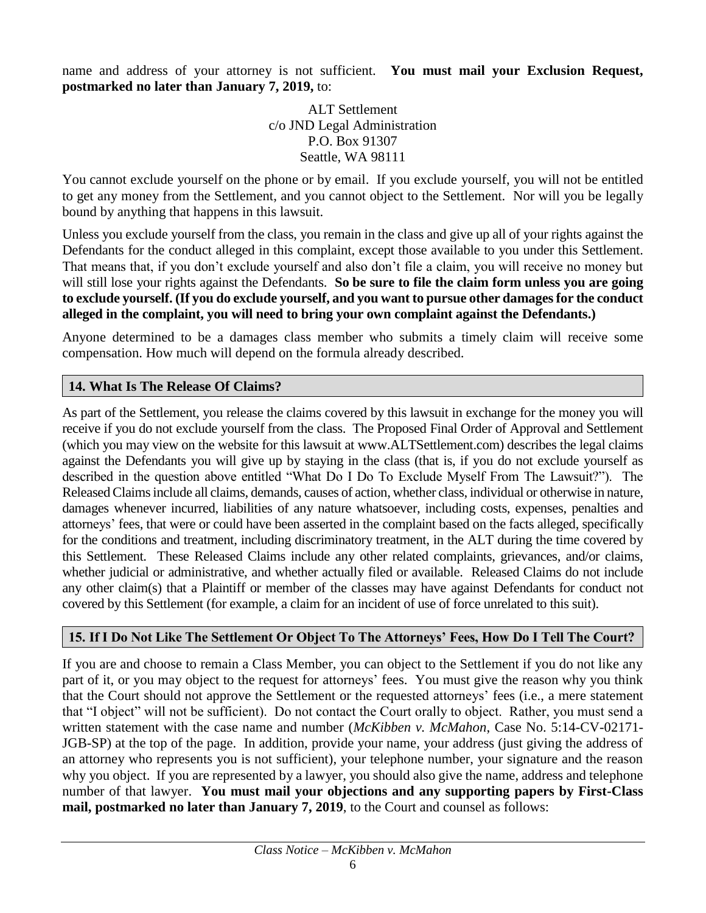name and address of your attorney is not sufficient. **You must mail your Exclusion Request, postmarked no later than January 7, 2019,** to:

> ALT Settlement c/o JND Legal Administration P.O. Box 91307 Seattle, WA 98111

You cannot exclude yourself on the phone or by email. If you exclude yourself, you will not be entitled to get any money from the Settlement, and you cannot object to the Settlement. Nor will you be legally bound by anything that happens in this lawsuit.

Unless you exclude yourself from the class, you remain in the class and give up all of your rights against the Defendants for the conduct alleged in this complaint, except those available to you under this Settlement. That means that, if you don't exclude yourself and also don't file a claim, you will receive no money but will still lose your rights against the Defendants. **So be sure to file the claim form unless you are going to exclude yourself. (If you do exclude yourself, and you want to pursue other damages for the conduct alleged in the complaint, you will need to bring your own complaint against the Defendants.)**

Anyone determined to be a damages class member who submits a timely claim will receive some compensation. How much will depend on the formula already described.

#### **14. What Is The Release Of Claims?**

As part of the Settlement, you release the claims covered by this lawsuit in exchange for the money you will receive if you do not exclude yourself from the class. The Proposed Final Order of Approval and Settlement (which you may view on the website for this lawsuit at www.ALTSettlement.com) describes the legal claims against the Defendants you will give up by staying in the class (that is, if you do not exclude yourself as described in the question above entitled "What Do I Do To Exclude Myself From The Lawsuit?"). The Released Claims include all claims, demands, causes of action, whether class, individual or otherwise in nature, damages whenever incurred, liabilities of any nature whatsoever, including costs, expenses, penalties and attorneys' fees, that were or could have been asserted in the complaint based on the facts alleged, specifically for the conditions and treatment, including discriminatory treatment, in the ALT during the time covered by this Settlement. These Released Claims include any other related complaints, grievances, and/or claims, whether judicial or administrative, and whether actually filed or available. Released Claims do not include any other claim(s) that a Plaintiff or member of the classes may have against Defendants for conduct not covered by this Settlement (for example, a claim for an incident of use of force unrelated to this suit).

#### **15. If I Do Not Like The Settlement Or Object To The Attorneys' Fees, How Do I Tell The Court?**

If you are and choose to remain a Class Member, you can object to the Settlement if you do not like any part of it, or you may object to the request for attorneys' fees. You must give the reason why you think that the Court should not approve the Settlement or the requested attorneys' fees (i.e., a mere statement that "I object" will not be sufficient). Do not contact the Court orally to object. Rather, you must send a written statement with the case name and number (*McKibben v. McMahon*, Case No. 5:14-CV-02171- JGB-SP) at the top of the page. In addition, provide your name, your address (just giving the address of an attorney who represents you is not sufficient), your telephone number, your signature and the reason why you object. If you are represented by a lawyer, you should also give the name, address and telephone number of that lawyer. **You must mail your objections and any supporting papers by First-Class mail, postmarked no later than January 7, 2019**, to the Court and counsel as follows: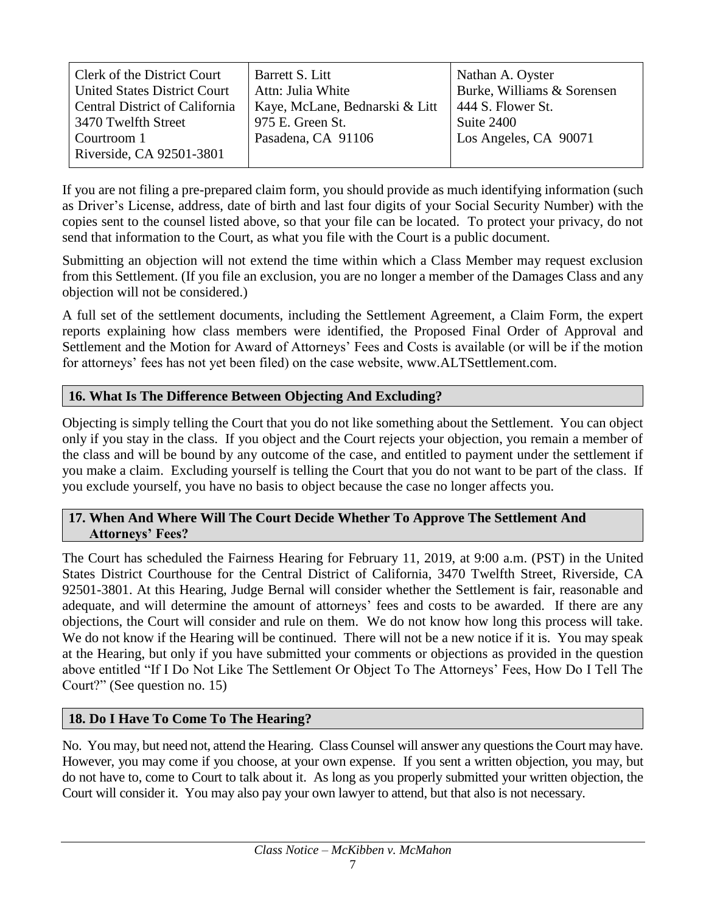| Clerk of the District Court           | Barrett S. Litt                | Nathan A. Oyster           |
|---------------------------------------|--------------------------------|----------------------------|
| <b>United States District Court</b>   | Attn: Julia White              | Burke, Williams & Sorensen |
| <b>Central District of California</b> | Kaye, McLane, Bednarski & Litt | 444 S. Flower St.          |
| 3470 Twelfth Street                   | 975 E. Green St.               | Suite 2400                 |
| Courtroom 1                           | Pasadena, CA 91106             | Los Angeles, CA 90071      |
| Riverside, CA 92501-3801              |                                |                            |

If you are not filing a pre-prepared claim form, you should provide as much identifying information (such as Driver's License, address, date of birth and last four digits of your Social Security Number) with the copies sent to the counsel listed above, so that your file can be located. To protect your privacy, do not send that information to the Court, as what you file with the Court is a public document.

Submitting an objection will not extend the time within which a Class Member may request exclusion from this Settlement. (If you file an exclusion, you are no longer a member of the Damages Class and any objection will not be considered.)

A full set of the settlement documents, including the Settlement Agreement, a Claim Form, the expert reports explaining how class members were identified, the Proposed Final Order of Approval and Settlement and the Motion for Award of Attorneys' Fees and Costs is available (or will be if the motion for attorneys' fees has not yet been filed) on the case website, www.ALTSettlement.com.

## **16. What Is The Difference Between Objecting And Excluding?**

Objecting is simply telling the Court that you do not like something about the Settlement. You can object only if you stay in the class. If you object and the Court rejects your objection, you remain a member of the class and will be bound by any outcome of the case, and entitled to payment under the settlement if you make a claim. Excluding yourself is telling the Court that you do not want to be part of the class. If you exclude yourself, you have no basis to object because the case no longer affects you.

#### **17. When And Where Will The Court Decide Whether To Approve The Settlement And Attorneys' Fees?**

The Court has scheduled the Fairness Hearing for February 11, 2019, at 9:00 a.m. (PST) in the United States District Courthouse for the Central District of California, 3470 Twelfth Street, Riverside, CA 92501-3801. At this Hearing, Judge Bernal will consider whether the Settlement is fair, reasonable and adequate, and will determine the amount of attorneys' fees and costs to be awarded. If there are any objections, the Court will consider and rule on them. We do not know how long this process will take. We do not know if the Hearing will be continued. There will not be a new notice if it is. You may speak at the Hearing, but only if you have submitted your comments or objections as provided in the question above entitled "If I Do Not Like The Settlement Or Object To The Attorneys' Fees, How Do I Tell The Court?" (See question no. 15)

## **18. Do I Have To Come To The Hearing?**

No. You may, but need not, attend the Hearing. Class Counsel will answer any questions the Court may have. However, you may come if you choose, at your own expense. If you sent a written objection, you may, but do not have to, come to Court to talk about it. As long as you properly submitted your written objection, the Court will consider it. You may also pay your own lawyer to attend, but that also is not necessary.